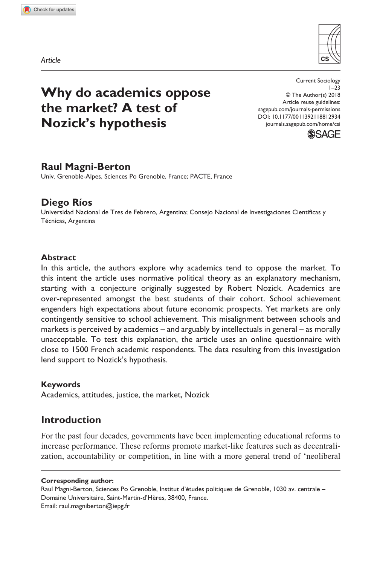**8129[34](http://crossmark.crossref.org/dialog/?doi=10.1177%2F0011392118812934&domain=pdf&date_stamp=2018-11-26)** CSI0010.1177/0011392118812934Current Sociology**Magni-Berton and Ríos**

*Article*



# **Why do academics oppose the market? A test of Nozick's hypothesis**

https://doi.org/10.1177/0011392118812934 DOI: 10.1177/0011392118812934 Current Sociology  $1 - 23$ © The Author(s) 2018 Article reuse guidelines: [sagepub.com/journals-permissions](https://uk.sagepub.com/en-gb/journals-permissions) [journals.sagepub.com/home/csi](https://journals.sagepub.com/home/csi
)



# **Raul Magni-Berton**

Univ. Grenoble-Alpes, Sciences Po Grenoble, France; PACTE, France

### **Diego Ríos**

Universidad Nacional de Tres de Febrero, Argentina; Consejo Nacional de Investigaciones Científicas y Técnicas, Argentina

### **Abstract**

In this article, the authors explore why academics tend to oppose the market. To this intent the article uses normative political theory as an explanatory mechanism, starting with a conjecture originally suggested by Robert Nozick. Academics are over-represented amongst the best students of their cohort. School achievement engenders high expectations about future economic prospects. Yet markets are only contingently sensitive to school achievement. This misalignment between schools and markets is perceived by academics – and arguably by intellectuals in general – as morally unacceptable. To test this explanation, the article uses an online questionnaire with close to 1500 French academic respondents. The data resulting from this investigation lend support to Nozick's hypothesis.

### **Keywords**

Academics, attitudes, justice, the market, Nozick

# **Introduction**

For the past four decades, governments have been implementing educational reforms to increase performance. These reforms promote market-like features such as decentralization, accountability or competition, in line with a more general trend of 'neoliberal

**Corresponding author:**

Raul Magni-Berton, Sciences Po Grenoble, Institut d'études politiques de Grenoble, 1030 av. centrale – Domaine Universitaire, Saint-Martin-d'Hères, 38400, France. Email: [raul.magniberton@iepg.fr](mailto:raul.magniberton@iepg.fr)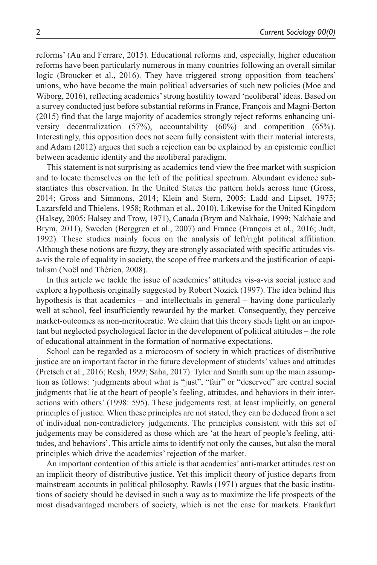reforms' (Au and Ferrare, 2015). Educational reforms and, especially, higher education reforms have been particularly numerous in many countries following an overall similar logic (Broucker et al., 2016). They have triggered strong opposition from teachers' unions, who have become the main political adversaries of such new policies (Moe and Wiborg, 2016), reflecting academics' strong hostility toward 'neoliberal' ideas. Based on a survey conducted just before substantial reforms in France, François and Magni-Berton (2015) find that the large majority of academics strongly reject reforms enhancing university decentralization (57%), accountability (60%) and competition (65%). Interestingly, this opposition does not seem fully consistent with their material interests, and Adam (2012) argues that such a rejection can be explained by an epistemic conflict between academic identity and the neoliberal paradigm.

This statement is not surprising as academics tend view the free market with suspicion and to locate themselves on the left of the political spectrum. Abundant evidence substantiates this observation. In the United States the pattern holds across time (Gross, 2014; Gross and Simmons, 2014; Klein and Stern, 2005; Ladd and Lipset, 1975; Lazarsfeld and Thielens, 1958; Rothman et al., 2010). Likewise for the United Kingdom (Halsey, 2005; Halsey and Trow, 1971), Canada (Brym and Nakhaie, 1999; Nakhaie and Brym, 2011), Sweden (Berggren et al., 2007) and France (François et al., 2016; Judt, 1992). These studies mainly focus on the analysis of left/right political affiliation. Although these notions are fuzzy, they are strongly associated with specific attitudes visa-vis the role of equality in society, the scope of free markets and the justification of capitalism (Noël and Thérien, 2008).

In this article we tackle the issue of academics' attitudes vis-a-vis social justice and explore a hypothesis originally suggested by Robert Nozick (1997). The idea behind this hypothesis is that academics – and intellectuals in general – having done particularly well at school, feel insufficiently rewarded by the market. Consequently, they perceive market-outcomes as non-meritocratic. We claim that this theory sheds light on an important but neglected psychological factor in the development of political attitudes – the role of educational attainment in the formation of normative expectations.

School can be regarded as a microcosm of society in which practices of distributive justice are an important factor in the future development of students' values and attitudes (Pretsch et al., 2016; Resh, 1999; Saha, 2017). Tyler and Smith sum up the main assumption as follows: 'judgments about what is "just", "fair" or "deserved" are central social judgments that lie at the heart of people's feeling, attitudes, and behaviors in their interactions with others' (1998: 595). These judgements rest, at least implicitly, on general principles of justice. When these principles are not stated, they can be deduced from a set of individual non-contradictory judgements. The principles consistent with this set of judgements may be considered as those which are 'at the heart of people's feeling, attitudes, and behaviors'. This article aims to identify not only the causes, but also the moral principles which drive the academics' rejection of the market.

An important contention of this article is that academics' anti-market attitudes rest on an implicit theory of distributive justice. Yet this implicit theory of justice departs from mainstream accounts in political philosophy. Rawls (1971) argues that the basic institutions of society should be devised in such a way as to maximize the life prospects of the most disadvantaged members of society, which is not the case for markets. Frankfurt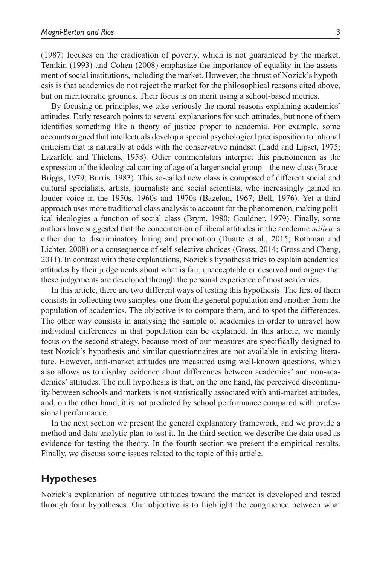(1987) focuses on the eradication of poverty, which is not guaranteed by the market. Temkin (1993) and Cohen (2008) emphasize the importance of equality in the assessment of social institutions, including the market. However, the thrust of Nozick's hypothesis is that academics do not reject the market for the philosophical reasons cited above, but on meritocratic grounds. Their focus is on merit using a school-based metrics.

By focusing on principles, we take seriously the moral reasons explaining academics' attitudes. Early research points to several explanations for such attitudes, but none of them identifies something like a theory of justice proper to academia. For example, some accounts argued that intellectuals develop a special psychological predisposition to rational criticism that is naturally at odds with the conservative mindset (Ladd and Lipset, 1975; Lazarfeld and Thielens, 1958). Other commentators interpret this phenomenon as the expression of the ideological coming of age of a larger social group – the new class (Bruce-Briggs, 1979; Burris, 1983). This so-called new class is composed of different social and cultural specialists, artists, journalists and social scientists, who increasingly gained an louder voice in the 1950s, 1960s and 1970s (Bazelon, 1967; Bell, 1976). Yet a third approach uses more traditional class analysis to account for the phenomenon, making political ideologies a function of social class (Brym, 1980; Gouldner, 1979). Finally, some authors have suggested that the concentration of liberal attitudes in the academic *milieu* is either due to discriminatory hiring and promotion (Duarte et al., 2015; Rothman and Lichter, 2008) or a consequence of self-selective choices (Gross, 2014; Gross and Cheng, 2011). In contrast with these explanations, Nozick's hypothesis tries to explain academics' attitudes by their judgements about what is fair, unacceptable or deserved and argues that these judgements are developed through the personal experience of most academics.

In this article, there are two different ways of testing this hypothesis. The first of them consists in collecting two samples: one from the general population and another from the population of academics. The objective is to compare them, and to spot the differences. The other way consists in analysing the sample of academics in order to unravel how individual differences in that population can be explained. In this article, we mainly focus on the second strategy, because most of our measures are specifically designed to test Nozick's hypothesis and similar questionnaires are not available in existing literature. However, anti-market attitudes are measured using well-known questions, which also allows us to display evidence about differences between academics' and non-academics' attitudes. The null hypothesis is that, on the one hand, the perceived discontinuity between schools and markets is not statistically associated with anti-market attitudes, and, on the other hand, it is not predicted by school performance compared with professional performance.

In the next section we present the general explanatory framework, and we provide a method and data-analytic plan to test it. In the third section we describe the data used as evidence for testing the theory. In the fourth section we present the empirical results. Finally, we discuss some issues related to the topic of this article.

# **Hypotheses**

Nozick's explanation of negative attitudes toward the market is developed and tested through four hypotheses. Our objective is to highlight the congruence between what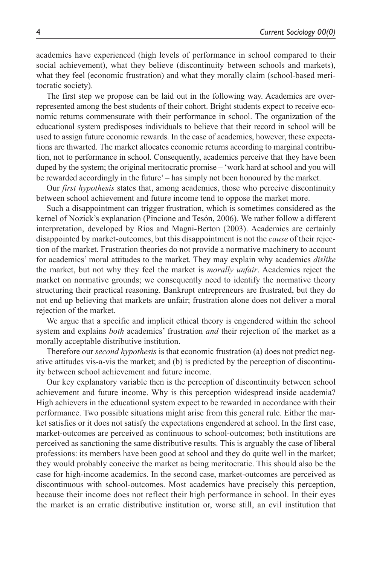academics have experienced (high levels of performance in school compared to their social achievement), what they believe (discontinuity between schools and markets), what they feel (economic frustration) and what they morally claim (school-based meritocratic society).

The first step we propose can be laid out in the following way. Academics are overrepresented among the best students of their cohort. Bright students expect to receive economic returns commensurate with their performance in school. The organization of the educational system predisposes individuals to believe that their record in school will be used to assign future economic rewards. In the case of academics, however, these expectations are thwarted. The market allocates economic returns according to marginal contribution, not to performance in school. Consequently, academics perceive that they have been duped by the system; the original meritocratic promise – 'work hard at school and you will be rewarded accordingly in the future' – has simply not been honoured by the market.

Our *first hypothesis* states that, among academics, those who perceive discontinuity between school achievement and future income tend to oppose the market more.

Such a disappointment can trigger frustration, which is sometimes considered as the kernel of Nozick's explanation (Pincione and Tesón, 2006). We rather follow a different interpretation, developed by Ríos and Magni-Berton (2003). Academics are certainly disappointed by market-outcomes, but this disappointment is not the *cause* of their rejection of the market. Frustration theories do not provide a normative machinery to account for academics' moral attitudes to the market. They may explain why academics *dislike* the market, but not why they feel the market is *morally unfair*. Academics reject the market on normative grounds; we consequently need to identify the normative theory structuring their practical reasoning. Bankrupt entrepreneurs are frustrated, but they do not end up believing that markets are unfair; frustration alone does not deliver a moral rejection of the market.

We argue that a specific and implicit ethical theory is engendered within the school system and explains *both* academics' frustration *and* their rejection of the market as a morally acceptable distributive institution.

Therefore our *second hypothesis* is that economic frustration (a) does not predict negative attitudes vis-a-vis the market; and (b) is predicted by the perception of discontinuity between school achievement and future income.

Our key explanatory variable then is the perception of discontinuity between school achievement and future income. Why is this perception widespread inside academia? High achievers in the educational system expect to be rewarded in accordance with their performance. Two possible situations might arise from this general rule. Either the market satisfies or it does not satisfy the expectations engendered at school. In the first case, market-outcomes are perceived as continuous to school-outcomes; both institutions are perceived as sanctioning the same distributive results. This is arguably the case of liberal professions: its members have been good at school and they do quite well in the market; they would probably conceive the market as being meritocratic. This should also be the case for high-income academics. In the second case, market-outcomes are perceived as discontinuous with school-outcomes. Most academics have precisely this perception, because their income does not reflect their high performance in school. In their eyes the market is an erratic distributive institution or, worse still, an evil institution that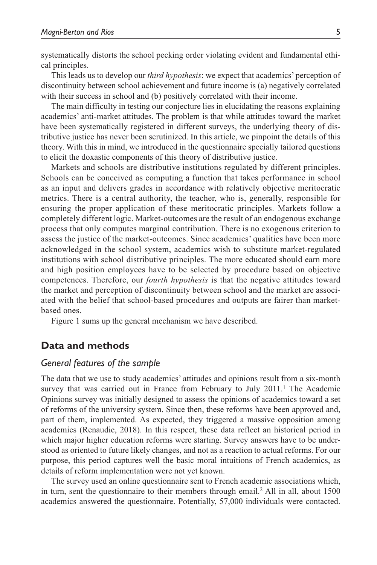systematically distorts the school pecking order violating evident and fundamental ethical principles.

This leads us to develop our *third hypothesis*: we expect that academics' perception of discontinuity between school achievement and future income is (a) negatively correlated with their success in school and (b) positively correlated with their income.

The main difficulty in testing our conjecture lies in elucidating the reasons explaining academics' anti-market attitudes. The problem is that while attitudes toward the market have been systematically registered in different surveys, the underlying theory of distributive justice has never been scrutinized. In this article, we pinpoint the details of this theory. With this in mind, we introduced in the questionnaire specially tailored questions to elicit the doxastic components of this theory of distributive justice.

Markets and schools are distributive institutions regulated by different principles. Schools can be conceived as computing a function that takes performance in school as an input and delivers grades in accordance with relatively objective meritocratic metrics. There is a central authority, the teacher, who is, generally, responsible for ensuring the proper application of these meritocratic principles. Markets follow a completely different logic. Market-outcomes are the result of an endogenous exchange process that only computes marginal contribution. There is no exogenous criterion to assess the justice of the market-outcomes. Since academics' qualities have been more acknowledged in the school system, academics wish to substitute market-regulated institutions with school distributive principles. The more educated should earn more and high position employees have to be selected by procedure based on objective competences. Therefore, our *fourth hypothesis* is that the negative attitudes toward the market and perception of discontinuity between school and the market are associated with the belief that school-based procedures and outputs are fairer than marketbased ones.

Figure 1 sums up the general mechanism we have described.

### **Data and methods**

#### *General features of the sample*

The data that we use to study academics' attitudes and opinions result from a six-month survey that was carried out in France from February to July 2011.<sup>1</sup> The Academic Opinions survey was initially designed to assess the opinions of academics toward a set of reforms of the university system. Since then, these reforms have been approved and, part of them, implemented. As expected, they triggered a massive opposition among academics (Renaudie, 2018). In this respect, these data reflect an historical period in which major higher education reforms were starting. Survey answers have to be understood as oriented to future likely changes, and not as a reaction to actual reforms. For our purpose, this period captures well the basic moral intuitions of French academics, as details of reform implementation were not yet known.

The survey used an online questionnaire sent to French academic associations which, in turn, sent the questionnaire to their members through email.2 All in all, about 1500 academics answered the questionnaire. Potentially, 57,000 individuals were contacted.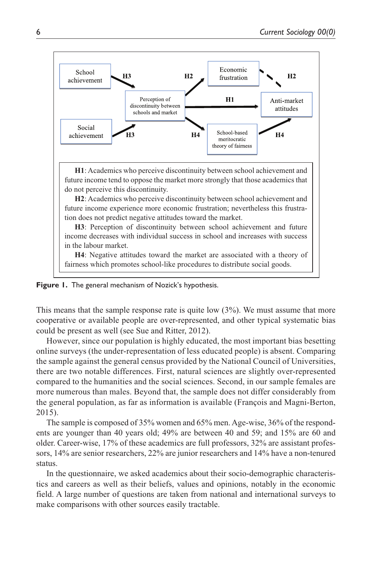

**Figure 1.** The general mechanism of Nozick's hypothesis.

This means that the sample response rate is quite low  $(3\%)$ . We must assume that more cooperative or available people are over-represented, and other typical systematic bias could be present as well (see Sue and Ritter, 2012).

However, since our population is highly educated, the most important bias besetting online surveys (the under-representation of less educated people) is absent. Comparing the sample against the general census provided by the National Council of Universities, there are two notable differences. First, natural sciences are slightly over-represented compared to the humanities and the social sciences. Second, in our sample females are more numerous than males. Beyond that, the sample does not differ considerably from the general population, as far as information is available (François and Magni-Berton, 2015).

The sample is composed of 35% women and 65% men. Age-wise, 36% of the respondents are younger than 40 years old; 49% are between 40 and 59; and 15% are 60 and older. Career-wise, 17% of these academics are full professors, 32% are assistant professors, 14% are senior researchers, 22% are junior researchers and 14% have a non-tenured status.

In the questionnaire, we asked academics about their socio-demographic characteristics and careers as well as their beliefs, values and opinions, notably in the economic field. A large number of questions are taken from national and international surveys to make comparisons with other sources easily tractable.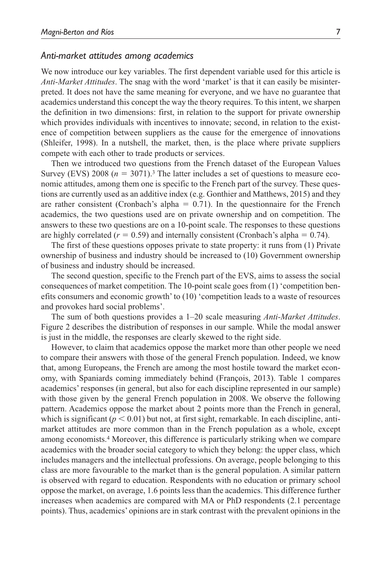#### *Anti-market attitudes among academics*

We now introduce our key variables. The first dependent variable used for this article is *Anti-Market Attitudes*. The snag with the word 'market' is that it can easily be misinterpreted. It does not have the same meaning for everyone, and we have no guarantee that academics understand this concept the way the theory requires. To this intent, we sharpen the definition in two dimensions: first, in relation to the support for private ownership which provides individuals with incentives to innovate; second, in relation to the existence of competition between suppliers as the cause for the emergence of innovations (Shleifer, 1998). In a nutshell, the market, then, is the place where private suppliers compete with each other to trade products or services.

Then we introduced two questions from the French dataset of the European Values Survey (EVS) 2008 ( $n = 3071$ ).<sup>3</sup> The latter includes a set of questions to measure economic attitudes, among them one is specific to the French part of the survey. These questions are currently used as an additive index (e.g. Gonthier and Matthews, 2015) and they are rather consistent (Cronbach's alpha  $= 0.71$ ). In the questionnaire for the French academics, the two questions used are on private ownership and on competition. The answers to these two questions are on a 10-point scale. The responses to these questions are highly correlated  $(r = 0.59)$  and internally consistent (Cronbach's alpha = 0.74).

The first of these questions opposes private to state property: it runs from (1) Private ownership of business and industry should be increased to (10) Government ownership of business and industry should be increased.

The second question, specific to the French part of the EVS, aims to assess the social consequences of market competition. The 10-point scale goes from (1) 'competition benefits consumers and economic growth' to (10) 'competition leads to a waste of resources and provokes hard social problems'.

The sum of both questions provides a 1–20 scale measuring *Anti-Market Attitudes*. Figure 2 describes the distribution of responses in our sample. While the modal answer is just in the middle, the responses are clearly skewed to the right side.

However, to claim that academics oppose the market more than other people we need to compare their answers with those of the general French population. Indeed, we know that, among Europeans, the French are among the most hostile toward the market economy, with Spaniards coming immediately behind (François, 2013). Table 1 compares academics' responses (in general, but also for each discipline represented in our sample) with those given by the general French population in 2008. We observe the following pattern. Academics oppose the market about 2 points more than the French in general, which is significant  $(p < 0.01)$  but not, at first sight, remarkable. In each discipline, antimarket attitudes are more common than in the French population as a whole, except among economists.4 Moreover, this difference is particularly striking when we compare academics with the broader social category to which they belong: the upper class, which includes managers and the intellectual professions. On average, people belonging to this class are more favourable to the market than is the general population. A similar pattern is observed with regard to education. Respondents with no education or primary school oppose the market, on average, 1.6 points less than the academics. This difference further increases when academics are compared with MA or PhD respondents (2.1 percentage points). Thus, academics' opinions are in stark contrast with the prevalent opinions in the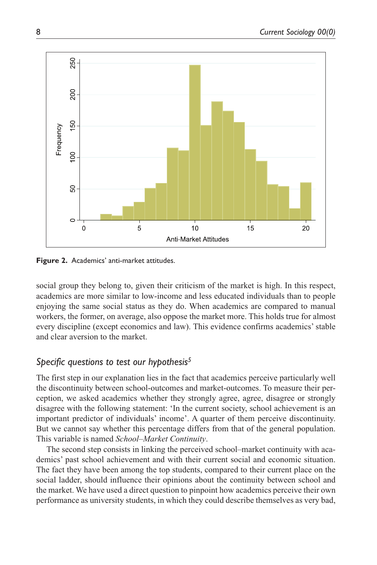

**Figure 2.** Academics' anti-market attitudes.

social group they belong to, given their criticism of the market is high. In this respect, academics are more similar to low-income and less educated individuals than to people enjoying the same social status as they do. When academics are compared to manual workers, the former, on average, also oppose the market more. This holds true for almost every discipline (except economics and law). This evidence confirms academics' stable and clear aversion to the market.

### *Specific questions to test our hypothesis5*

The first step in our explanation lies in the fact that academics perceive particularly well the discontinuity between school-outcomes and market-outcomes. To measure their perception, we asked academics whether they strongly agree, agree, disagree or strongly disagree with the following statement: 'In the current society, school achievement is an important predictor of individuals' income'. A quarter of them perceive discontinuity. But we cannot say whether this percentage differs from that of the general population. This variable is named *School–Market Continuity*.

The second step consists in linking the perceived school–market continuity with academics' past school achievement and with their current social and economic situation. The fact they have been among the top students, compared to their current place on the social ladder, should influence their opinions about the continuity between school and the market. We have used a direct question to pinpoint how academics perceive their own performance as university students, in which they could describe themselves as very bad,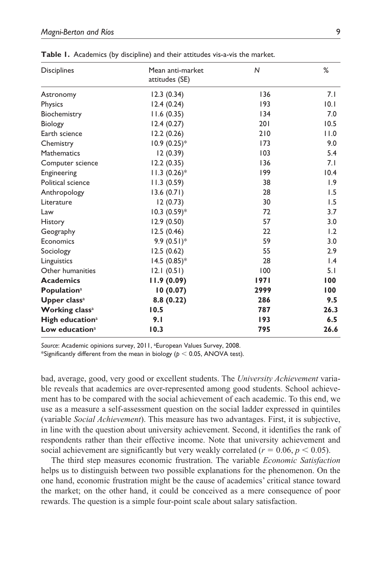| <b>Disciplines</b>             | Mean anti-market          | $\mathsf{N}$ | %               |
|--------------------------------|---------------------------|--------------|-----------------|
|                                | attitudes (SE)            |              |                 |
| Astronomy                      | 12.3(0.34)                | 136          | 7.1             |
| Physics                        | 12.4(0.24)                | 193          | 0.1             |
| Biochemistry                   | 11.6(0.35)                | 134          | 7.0             |
| Biology                        | 12.4(0.27)                | 201          | 10.5            |
| Earth science                  | 12.2(0.26)                | 210          | 11.0            |
| Chemistry                      | $10.9(0.25)*$             | 173          | 9.0             |
| Mathematics                    | 12 (0.39)                 | 103          | 5.4             |
| Computer science               | 12.2(0.35)                | 136          | 7.1             |
| Engineering                    | $11.3 (0.26)^*$           | 199          | 10.4            |
| Political science              | 11.3(0.59)                | 38           | 1.9             |
| Anthropology                   | 13.6(0.71)                | 28           | 1.5             |
| Literature                     | 12(0.73)                  | 30           | 1.5             |
| Law                            | $10.3 (0.59)$ *           | 72           | 3.7             |
| History                        | 12.9(0.50)                | 57           | 3.0             |
| Geography                      | 12.5(0.46)                | 22           | 1.2             |
| Economics                      | 9.9 $(0.51)$ <sup>*</sup> | 59           | 3.0             |
| Sociology                      | 12.5(0.62)                | 55           | 2.9             |
| Linguistics                    | $14.5 (0.85)^*$           | 28           | $\mathsf{I}$ .4 |
| Other humanities               | 12.1(0.51)                | 100          | 5.1             |
| <b>Academics</b>               | 11.9(0.09)                | 1971         | 100             |
| <b>Population</b> <sup>a</sup> | 10(0.07)                  | 2999         | 100             |
| Upper class <sup>a</sup>       | 8.8(0.22)                 | 286          | 9.5             |
| <b>Working classa</b>          | 10.5                      | 787          | 26.3            |
| High education <sup>a</sup>    | 9.1                       | 193          | 6.5             |
| Low education <sup>a</sup>     | 10.3                      | 795          | 26.6            |

**Table 1.** Academics (by discipline) and their attitudes vis-a-vis the market.

Source: Academic opinions survey, 2011, <sup>a</sup>European Values Survey, 2008.

\*Significantly different from the mean in biology (*p* < 0.05, ANOVA test).

bad, average, good, very good or excellent students. The *University Achievement* variable reveals that academics are over-represented among good students. School achievement has to be compared with the social achievement of each academic. To this end, we use as a measure a self-assessment question on the social ladder expressed in quintiles (variable *Social Achievement*). This measure has two advantages. First, it is subjective, in line with the question about university achievement. Second, it identifies the rank of respondents rather than their effective income. Note that university achievement and social achievement are significantly but very weakly correlated ( $r = 0.06$ ,  $p < 0.05$ ).

The third step measures economic frustration. The variable *Economic Satisfaction* helps us to distinguish between two possible explanations for the phenomenon. On the one hand, economic frustration might be the cause of academics' critical stance toward the market; on the other hand, it could be conceived as a mere consequence of poor rewards. The question is a simple four-point scale about salary satisfaction.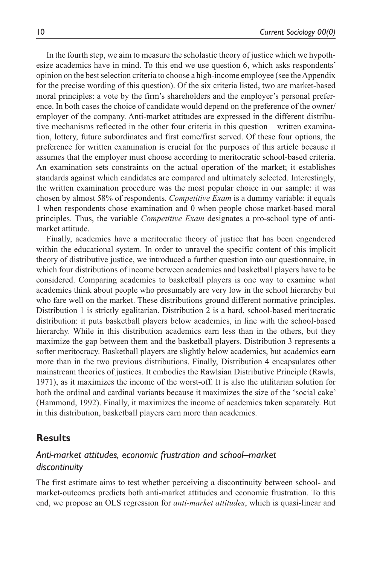In the fourth step, we aim to measure the scholastic theory of justice which we hypothesize academics have in mind. To this end we use question 6, which asks respondents' opinion on the best selection criteria to choose a high-income employee (see the Appendix for the precise wording of this question). Of the six criteria listed, two are market-based moral principles: a vote by the firm's shareholders and the employer's personal preference. In both cases the choice of candidate would depend on the preference of the owner/ employer of the company. Anti-market attitudes are expressed in the different distributive mechanisms reflected in the other four criteria in this question – written examination, lottery, future subordinates and first come/first served. Of these four options, the preference for written examination is crucial for the purposes of this article because it assumes that the employer must choose according to meritocratic school-based criteria. An examination sets constraints on the actual operation of the market; it establishes standards against which candidates are compared and ultimately selected. Interestingly, the written examination procedure was the most popular choice in our sample: it was chosen by almost 58% of respondents. *Competitive Exam* is a dummy variable: it equals 1 when respondents chose examination and 0 when people chose market-based moral principles. Thus, the variable *Competitive Exam* designates a pro-school type of antimarket attitude.

Finally, academics have a meritocratic theory of justice that has been engendered within the educational system. In order to unravel the specific content of this implicit theory of distributive justice, we introduced a further question into our questionnaire, in which four distributions of income between academics and basketball players have to be considered. Comparing academics to basketball players is one way to examine what academics think about people who presumably are very low in the school hierarchy but who fare well on the market. These distributions ground different normative principles. Distribution 1 is strictly egalitarian. Distribution 2 is a hard, school-based meritocratic distribution: it puts basketball players below academics, in line with the school-based hierarchy. While in this distribution academics earn less than in the others, but they maximize the gap between them and the basketball players. Distribution 3 represents a softer meritocracy. Basketball players are slightly below academics, but academics earn more than in the two previous distributions. Finally, Distribution 4 encapsulates other mainstream theories of justices. It embodies the Rawlsian Distributive Principle (Rawls, 1971), as it maximizes the income of the worst-off. It is also the utilitarian solution for both the ordinal and cardinal variants because it maximizes the size of the 'social cake' (Hammond, 1992). Finally, it maximizes the income of academics taken separately. But in this distribution, basketball players earn more than academics.

### **Results**

# *Anti-market attitudes, economic frustration and school–market discontinuity*

The first estimate aims to test whether perceiving a discontinuity between school- and market-outcomes predicts both anti-market attitudes and economic frustration. To this end, we propose an OLS regression for *anti-market attitudes*, which is quasi-linear and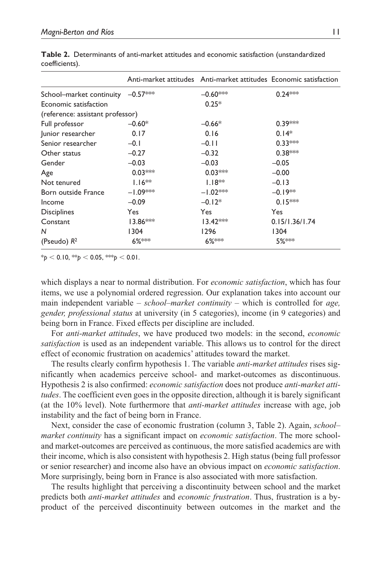|                                   |            | Anti-market attitudes Anti-market attitudes Economic satisfaction |                |
|-----------------------------------|------------|-------------------------------------------------------------------|----------------|
| School-market continuity -0.57*** |            | $-0.60***$                                                        | $0.24***$      |
| Economic satisfaction             |            | $0.25*$                                                           |                |
| (reference: assistant professor)  |            |                                                                   |                |
| Full professor                    | $-0.60*$   | $-0.66*$                                                          | $0.39***$      |
| Junior researcher                 | 0.17       | 0.16                                                              | $0.14*$        |
| Senior researcher                 | $-0.1$     | $-0.11$                                                           | $0.33***$      |
| Other status                      | $-0.27$    | $-0.32$                                                           | $0.38***$      |
| Gender                            | $-0.03$    | $-0.03$                                                           | $-0.05$        |
| Age                               | $0.03***$  | $0.03***$                                                         | $-0.00$        |
| Not tenured                       | $1.16**$   | $1.18**$                                                          | $-0.13$        |
| Born outside France               | $-1.09***$ | $-1.02***$                                                        | $-0.19**$      |
| Income                            | $-0.09$    | $-0.12*$                                                          | $0.15***$      |
| <b>Disciplines</b>                | Yes        | Yes                                                               | Yes            |
| Constant                          | $13.86***$ | $13.42***$                                                        | 0.15/1.36/1.74 |
| N                                 | 1304       | 1296                                                              | 1304           |
| (Pseudo) $R^2$                    | 6%***      | 6%***                                                             | 5%***          |

**Table 2.** Determinants of anti-market attitudes and economic satisfaction (unstandardized coefficients).

 $*_{p}$  < 0.10,  $*_{p}$  < 0.05,  $*_{p}$  < 0.01.

which displays a near to normal distribution. For *economic satisfaction*, which has four items, we use a polynomial ordered regression. Our explanation takes into account our main independent variable – *school–market continuity* – which is controlled for *age, gender, professional status* at university (in 5 categories), income (in 9 categories) and being born in France. Fixed effects per discipline are included.

For *anti-market attitudes*, we have produced two models: in the second, *economic satisfaction* is used as an independent variable. This allows us to control for the direct effect of economic frustration on academics' attitudes toward the market.

The results clearly confirm hypothesis 1. The variable *anti-market attitudes* rises significantly when academics perceive school- and market-outcomes as discontinuous. Hypothesis 2 is also confirmed: *economic satisfaction* does not produce *anti-market attitudes*. The coefficient even goes in the opposite direction, although it is barely significant (at the 10% level). Note furthermore that *anti-market attitudes* increase with age, job instability and the fact of being born in France.

Next, consider the case of economic frustration (column 3, Table 2). Again, *school– market continuity* has a significant impact on *economic satisfaction*. The more schooland market-outcomes are perceived as continuous, the more satisfied academics are with their income, which is also consistent with hypothesis 2. High status (being full professor or senior researcher) and income also have an obvious impact on *economic satisfaction*. More surprisingly, being born in France is also associated with more satisfaction.

The results highlight that perceiving a discontinuity between school and the market predicts both *anti-market attitudes* and *economic frustration*. Thus, frustration is a byproduct of the perceived discontinuity between outcomes in the market and the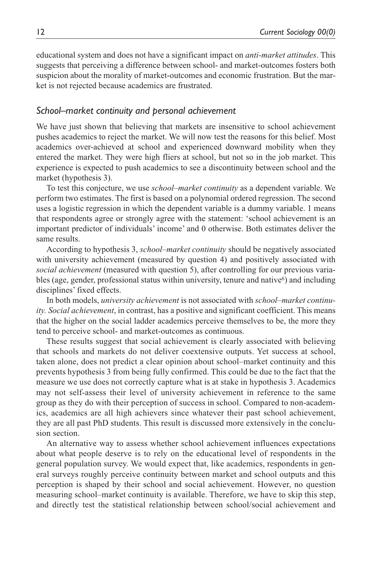educational system and does not have a significant impact on *anti-market attitudes*. This suggests that perceiving a difference between school- and market-outcomes fosters both suspicion about the morality of market-outcomes and economic frustration. But the market is not rejected because academics are frustrated.

#### *School–market continuity and personal achievement*

We have just shown that believing that markets are insensitive to school achievement pushes academics to reject the market. We will now test the reasons for this belief. Most academics over-achieved at school and experienced downward mobility when they entered the market. They were high fliers at school, but not so in the job market. This experience is expected to push academics to see a discontinuity between school and the market (hypothesis 3).

To test this conjecture, we use *school–market continuity* as a dependent variable. We perform two estimates. The first is based on a polynomial ordered regression. The second uses a logistic regression in which the dependent variable is a dummy variable. 1 means that respondents agree or strongly agree with the statement: 'school achievement is an important predictor of individuals' income' and 0 otherwise. Both estimates deliver the same results.

According to hypothesis 3, *school–market continuity* should be negatively associated with university achievement (measured by question 4) and positively associated with *social achievement* (measured with question 5), after controlling for our previous variables (age, gender, professional status within university, tenure and native<sup>6</sup>) and including disciplines' fixed effects.

In both models, *university achievement* is not associated with *school–market continuity. Social achievement*, in contrast, has a positive and significant coefficient. This means that the higher on the social ladder academics perceive themselves to be, the more they tend to perceive school- and market-outcomes as continuous.

These results suggest that social achievement is clearly associated with believing that schools and markets do not deliver coextensive outputs. Yet success at school, taken alone, does not predict a clear opinion about school–market continuity and this prevents hypothesis 3 from being fully confirmed. This could be due to the fact that the measure we use does not correctly capture what is at stake in hypothesis 3. Academics may not self-assess their level of university achievement in reference to the same group as they do with their perception of success in school. Compared to non-academics, academics are all high achievers since whatever their past school achievement, they are all past PhD students. This result is discussed more extensively in the conclusion section.

An alternative way to assess whether school achievement influences expectations about what people deserve is to rely on the educational level of respondents in the general population survey. We would expect that, like academics, respondents in general surveys roughly perceive continuity between market and school outputs and this perception is shaped by their school and social achievement. However, no question measuring school–market continuity is available. Therefore, we have to skip this step, and directly test the statistical relationship between school/social achievement and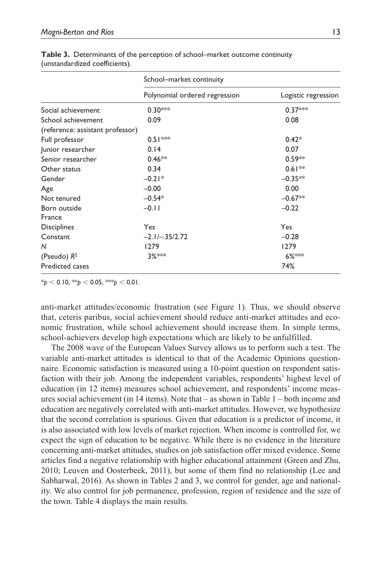|                                  | School-market continuity      |                     |
|----------------------------------|-------------------------------|---------------------|
|                                  | Polynomial ordered regression | Logistic regression |
| Social achievement               | $0.30***$                     | $0.37***$           |
| School achievement               | 0.09                          | 0.08                |
| (reference: assistant professor) |                               |                     |
| Full professor                   | $0.51***$                     | $0.42*$             |
| Junior researcher                | 0.14                          | 0.07                |
| Senior researcher                | $0.46**$                      | $0.59**$            |
| Other status                     | 0.34                          | $0.61**$            |
| Gender                           | $-0.21*$                      | $-0.35**$           |
| Age                              | $-0.00$                       | 0.00                |
| Not tenured                      | $-0.54*$                      | $-0.67**$           |
| Born outside                     | $-0.11$                       | $-0.22$             |
| France                           |                               |                     |
| <b>Disciplines</b>               | Yes                           | Yes                 |
| Constant                         | $-2.1/-35/2.72$               | $-0.28$             |
| N                                | 1279                          | 1279                |
| (Pseudo) $R^2$                   | 3%***                         | 6% ***              |
| <b>Predicted cases</b>           |                               | 74%                 |

**Table 3.** Determinants of the perception of school–market outcome continuity (unstandardized coefficients).

 $*$ *p* < 0.10,  $*$ <sup>\*</sup>*p* < 0.05,  $*$ <sup>\*</sup>*p* < 0.01.

anti-market attitudes/economic frustration (see Figure 1). Thus, we should observe that, ceteris paribus, social achievement should reduce anti-market attitudes and economic frustration, while school achievement should increase them. In simple terms, school-achievers develop high expectations which are likely to be unfulfilled.

The 2008 wave of the European Values Survey allows us to perform such a test. The variable anti-market attitudes is identical to that of the Academic Opinions questionnaire. Economic satisfaction is measured using a 10-point question on respondent satisfaction with their job. Among the independent variables, respondents' highest level of education (in 12 items) measures school achievement, and respondents' income measures social achievement (in 14 items). Note that – as shown in Table 1 – both income and education are negatively correlated with anti-market attitudes. However, we hypothesize that the second correlation is spurious. Given that education is a predictor of income, it is also associated with low levels of market rejection. When income is controlled for, we expect the sign of education to be negative. While there is no evidence in the literature concerning anti-market attitudes, studies on job satisfaction offer mixed evidence. Some articles find a negative relationship with higher educational attainment (Green and Zhu, 2010; Leuven and Oosterbeek, 2011), but some of them find no relationship (Lee and Sabharwal, 2016). As shown in Tables 2 and 3, we control for gender, age and nationality. We also control for job permanence, profession, region of residence and the size of the town. Table 4 displays the main results.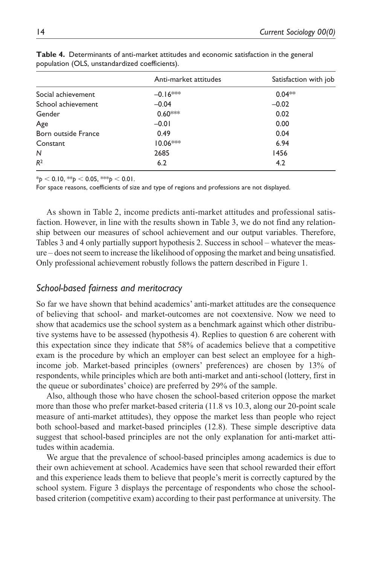|                     | Anti-market attitudes | Satisfaction with job |
|---------------------|-----------------------|-----------------------|
| Social achievement  | $-0.16***$            | $0.04**$              |
| School achievement  | $-0.04$               | $-0.02$               |
| Gender              | $0.60***$             | 0.02                  |
| Age                 | $-0.01$               | 0.00                  |
| Born outside France | 0.49                  | 0.04                  |
| Constant            | $10.06***$            | 6.94                  |
| N                   | 2685                  | 1456                  |
| R <sup>2</sup>      | 6.2                   | 4.2                   |

**Table 4.** Determinants of anti-market attitudes and economic satisfaction in the general population (OLS, unstandardized coefficients).

 $*_{p}$  < 0.10,  $*_{p}$  < 0.05,  $*_{p}$  < 0.01.

For space reasons, coefficients of size and type of regions and professions are not displayed.

As shown in Table 2, income predicts anti-market attitudes and professional satisfaction. However, in line with the results shown in Table 3, we do not find any relationship between our measures of school achievement and our output variables. Therefore, Tables 3 and 4 only partially support hypothesis 2. Success in school – whatever the measure – does not seem to increase the likelihood of opposing the market and being unsatisfied. Only professional achievement robustly follows the pattern described in Figure 1.

### *School-based fairness and meritocracy*

So far we have shown that behind academics' anti-market attitudes are the consequence of believing that school- and market-outcomes are not coextensive. Now we need to show that academics use the school system as a benchmark against which other distributive systems have to be assessed (hypothesis 4). Replies to question 6 are coherent with this expectation since they indicate that 58% of academics believe that a competitive exam is the procedure by which an employer can best select an employee for a highincome job. Market-based principles (owners' preferences) are chosen by 13% of respondents, while principles which are both anti-market and anti-school (lottery, first in the queue or subordinates' choice) are preferred by 29% of the sample.

Also, although those who have chosen the school-based criterion oppose the market more than those who prefer market-based criteria (11.8 vs 10.3, along our 20-point scale measure of anti-market attitudes), they oppose the market less than people who reject both school-based and market-based principles (12.8). These simple descriptive data suggest that school-based principles are not the only explanation for anti-market attitudes within academia.

We argue that the prevalence of school-based principles among academics is due to their own achievement at school. Academics have seen that school rewarded their effort and this experience leads them to believe that people's merit is correctly captured by the school system. Figure 3 displays the percentage of respondents who chose the schoolbased criterion (competitive exam) according to their past performance at university. The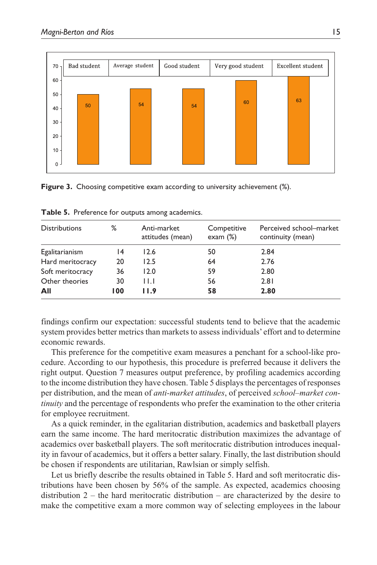| $70 -$ | Bad student | Average student<br>Good student |  | Very good student |  | Excellent student |  |    |  |
|--------|-------------|---------------------------------|--|-------------------|--|-------------------|--|----|--|
| $60 -$ |             |                                 |  |                   |  |                   |  |    |  |
| $50 -$ |             |                                 |  |                   |  | 60                |  | 63 |  |
| $40 -$ | 50          | 54                              |  | 54                |  |                   |  |    |  |
| $30 -$ |             |                                 |  |                   |  |                   |  |    |  |
| $20 -$ |             |                                 |  |                   |  |                   |  |    |  |
| $10 -$ |             |                                 |  |                   |  |                   |  |    |  |
| $0-1$  |             |                                 |  |                   |  |                   |  |    |  |

**Figure 3.** Choosing competitive exam according to university achievement (%).

| <b>Distributions</b> | ℅   | Anti-market<br>attitudes (mean) | Competitive<br>exam $(\%)$ | Perceived school-market<br>continuity (mean) |
|----------------------|-----|---------------------------------|----------------------------|----------------------------------------------|
| Egalitarianism       | 14  | 12.6                            | 50                         | 2.84                                         |
| Hard meritocracy     | 20  | 12.5                            | 64                         | 2.76                                         |
| Soft meritocracy     | 36  | 12.0                            | 59                         | 2.80                                         |
| Other theories       | 30  | $\mathsf{H}$                    | 56                         | 2.81                                         |
| All                  | 100 | I I.9                           | 58                         | 2.80                                         |

**Table 5.** Preference for outputs among academics.

findings confirm our expectation: successful students tend to believe that the academic system provides better metrics than markets to assess individuals' effort and to determine economic rewards.

This preference for the competitive exam measures a penchant for a school-like procedure. According to our hypothesis, this procedure is preferred because it delivers the right output. Question 7 measures output preference, by profiling academics according to the income distribution they have chosen. Table 5 displays the percentages of responses per distribution, and the mean of *anti-market attitudes*, of perceived *school–market continuity* and the percentage of respondents who prefer the examination to the other criteria for employee recruitment.

As a quick reminder, in the egalitarian distribution, academics and basketball players earn the same income. The hard meritocratic distribution maximizes the advantage of academics over basketball players. The soft meritocratic distribution introduces inequality in favour of academics, but it offers a better salary. Finally, the last distribution should be chosen if respondents are utilitarian, Rawlsian or simply selfish.

Let us briefly describe the results obtained in Table 5. Hard and soft meritocratic distributions have been chosen by 56% of the sample. As expected, academics choosing distribution  $2$  – the hard meritocratic distribution – are characterized by the desire to make the competitive exam a more common way of selecting employees in the labour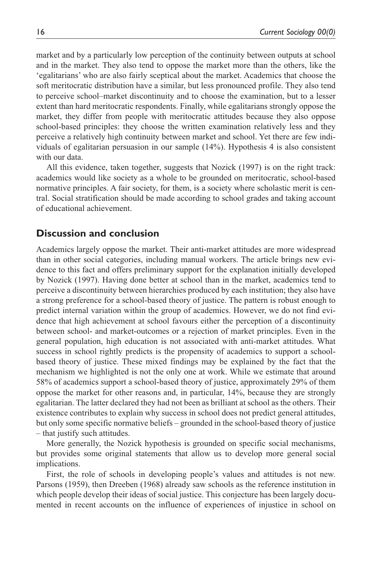market and by a particularly low perception of the continuity between outputs at school and in the market. They also tend to oppose the market more than the others, like the 'egalitarians' who are also fairly sceptical about the market. Academics that choose the soft meritocratic distribution have a similar, but less pronounced profile. They also tend to perceive school–market discontinuity and to choose the examination, but to a lesser extent than hard meritocratic respondents. Finally, while egalitarians strongly oppose the market, they differ from people with meritocratic attitudes because they also oppose school-based principles: they choose the written examination relatively less and they perceive a relatively high continuity between market and school. Yet there are few individuals of egalitarian persuasion in our sample (14%). Hypothesis 4 is also consistent with our data.

All this evidence, taken together, suggests that Nozick (1997) is on the right track: academics would like society as a whole to be grounded on meritocratic, school-based normative principles. A fair society, for them, is a society where scholastic merit is central. Social stratification should be made according to school grades and taking account of educational achievement.

### **Discussion and conclusion**

Academics largely oppose the market. Their anti-market attitudes are more widespread than in other social categories, including manual workers. The article brings new evidence to this fact and offers preliminary support for the explanation initially developed by Nozick (1997). Having done better at school than in the market, academics tend to perceive a discontinuity between hierarchies produced by each institution; they also have a strong preference for a school-based theory of justice. The pattern is robust enough to predict internal variation within the group of academics. However, we do not find evidence that high achievement at school favours either the perception of a discontinuity between school- and market-outcomes or a rejection of market principles. Even in the general population, high education is not associated with anti-market attitudes. What success in school rightly predicts is the propensity of academics to support a schoolbased theory of justice. These mixed findings may be explained by the fact that the mechanism we highlighted is not the only one at work. While we estimate that around 58% of academics support a school-based theory of justice, approximately 29% of them oppose the market for other reasons and, in particular, 14%, because they are strongly egalitarian. The latter declared they had not been as brilliant at school as the others. Their existence contributes to explain why success in school does not predict general attitudes, but only some specific normative beliefs – grounded in the school-based theory of justice – that justify such attitudes.

More generally, the Nozick hypothesis is grounded on specific social mechanisms, but provides some original statements that allow us to develop more general social implications.

First, the role of schools in developing people's values and attitudes is not new. Parsons (1959), then Dreeben (1968) already saw schools as the reference institution in which people develop their ideas of social justice. This conjecture has been largely documented in recent accounts on the influence of experiences of injustice in school on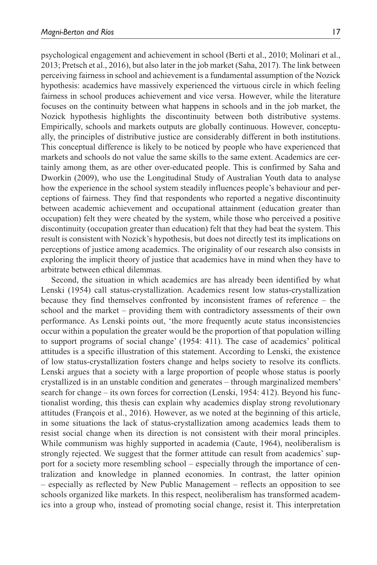psychological engagement and achievement in school (Berti et al., 2010; Molinari et al., 2013; Pretsch et al., 2016), but also later in the job market (Saha, 2017). The link between perceiving fairness in school and achievement is a fundamental assumption of the Nozick hypothesis: academics have massively experienced the virtuous circle in which feeling fairness in school produces achievement and vice versa. However, while the literature focuses on the continuity between what happens in schools and in the job market, the Nozick hypothesis highlights the discontinuity between both distributive systems. Empirically, schools and markets outputs are globally continuous. However, conceptually, the principles of distributive justice are considerably different in both institutions. This conceptual difference is likely to be noticed by people who have experienced that markets and schools do not value the same skills to the same extent. Academics are certainly among them, as are other over-educated people. This is confirmed by Saha and Dworkin (2009), who use the Longitudinal Study of Australian Youth data to analyse how the experience in the school system steadily influences people's behaviour and perceptions of fairness. They find that respondents who reported a negative discontinuity between academic achievement and occupational attainment (education greater than occupation) felt they were cheated by the system, while those who perceived a positive discontinuity (occupation greater than education) felt that they had beat the system. This result is consistent with Nozick's hypothesis, but does not directly test its implications on perceptions of justice among academics. The originality of our research also consists in exploring the implicit theory of justice that academics have in mind when they have to arbitrate between ethical dilemmas.

Second, the situation in which academics are has already been identified by what Lenski (1954) call status-crystallization. Academics resent low status-crystallization because they find themselves confronted by inconsistent frames of reference – the school and the market – providing them with contradictory assessments of their own performance. As Lenski points out, 'the more frequently acute status inconsistencies occur within a population the greater would be the proportion of that population willing to support programs of social change' (1954: 411). The case of academics' political attitudes is a specific illustration of this statement. According to Lenski, the existence of low status-crystallization fosters change and helps society to resolve its conflicts. Lenski argues that a society with a large proportion of people whose status is poorly crystallized is in an unstable condition and generates – through marginalized members' search for change – its own forces for correction (Lenski, 1954: 412). Beyond his functionalist wording, this thesis can explain why academics display strong revolutionary attitudes (François et al., 2016). However, as we noted at the beginning of this article, in some situations the lack of status-crystallization among academics leads them to resist social change when its direction is not consistent with their moral principles. While communism was highly supported in academia (Caute, 1964), neoliberalism is strongly rejected. We suggest that the former attitude can result from academics' support for a society more resembling school – especially through the importance of centralization and knowledge in planned economies. In contrast, the latter opinion – especially as reflected by New Public Management – reflects an opposition to see schools organized like markets. In this respect, neoliberalism has transformed academics into a group who, instead of promoting social change, resist it. This interpretation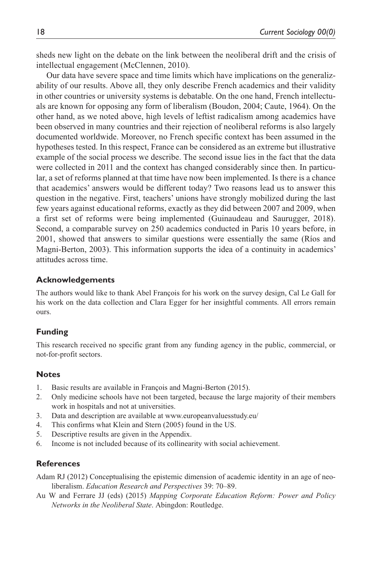sheds new light on the debate on the link between the neoliberal drift and the crisis of intellectual engagement (McClennen, 2010).

Our data have severe space and time limits which have implications on the generalizability of our results. Above all, they only describe French academics and their validity in other countries or university systems is debatable. On the one hand, French intellectuals are known for opposing any form of liberalism (Boudon, 2004; Caute, 1964). On the other hand, as we noted above, high levels of leftist radicalism among academics have been observed in many countries and their rejection of neoliberal reforms is also largely documented worldwide. Moreover, no French specific context has been assumed in the hypotheses tested. In this respect, France can be considered as an extreme but illustrative example of the social process we describe. The second issue lies in the fact that the data were collected in 2011 and the context has changed considerably since then. In particular, a set of reforms planned at that time have now been implemented. Is there is a chance that academics' answers would be different today? Two reasons lead us to answer this question in the negative. First, teachers' unions have strongly mobilized during the last few years against educational reforms, exactly as they did between 2007 and 2009, when a first set of reforms were being implemented (Guinaudeau and Saurugger, 2018). Second, a comparable survey on 250 academics conducted in Paris 10 years before, in 2001, showed that answers to similar questions were essentially the same (Ríos and Magni-Berton, 2003). This information supports the idea of a continuity in academics' attitudes across time.

#### **Acknowledgements**

The authors would like to thank Abel François for his work on the survey design, Cal Le Gall for his work on the data collection and Clara Egger for her insightful comments. All errors remain ours.

### **Funding**

This research received no specific grant from any funding agency in the public, commercial, or not-for-profit sectors.

#### **Notes**

- 1. Basic results are available in François and Magni-Berton (2015).
- 2. Only medicine schools have not been targeted, because the large majority of their members work in hospitals and not at universities.
- 3. Data and description are available at <www.europeanvaluesstudy.eu/>
- 4. This confirms what Klein and Stern (2005) found in the US.
- 5. Descriptive results are given in the Appendix.
- 6. Income is not included because of its collinearity with social achievement.

### **References**

Adam RJ (2012) Conceptualising the epistemic dimension of academic identity in an age of neoliberalism. *Education Research and Perspectives* 39: 70–89.

Au W and Ferrare JJ (eds) (2015) *Mapping Corporate Education Reform: Power and Policy Networks in the Neoliberal State*. Abingdon: Routledge.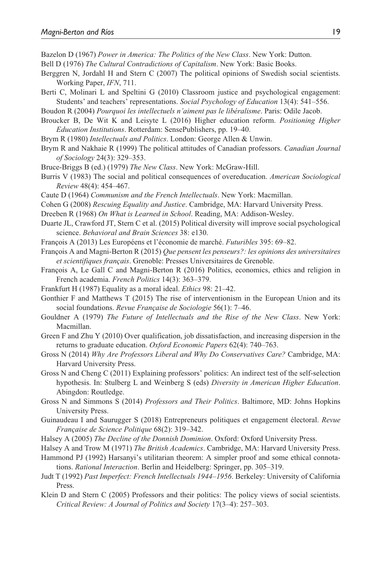Bazelon D (1967) *Power in America: The Politics of the New Class*. New York: Dutton.

- Bell D (1976) *The Cultural Contradictions of Capitalism*. New York: Basic Books.
- Berggren N, Jordahl H and Stern C (2007) The political opinions of Swedish social scientists. Working Paper, *IFN*, 711.
- Berti C, Molinari L and Speltini G (2010) Classroom justice and psychological engagement: Students' and teachers' representations. *Social Psychology of Education* 13(4): 541–556.
- Boudon R (2004) *Pourquoi les intellectuels n'aiment pas le libéralisme*. Paris: Odile Jacob.
- Broucker B, De Wit K and Leisyte L (2016) Higher education reform. *Positioning Higher Education Institutions*. Rotterdam: SensePublishers, pp. 19–40.
- Brym R (1980) *Intellectuals and Politics*. London: George Allen & Unwin.
- Brym R and Nakhaie R (1999) The political attitudes of Canadian professors. *Canadian Journal of Sociology* 24(3): 329–353.
- Bruce-Briggs B (ed.) (1979) *The New Class*. New York: McGraw-Hill.
- Burris V (1983) The social and political consequences of overeducation. *American Sociological Review* 48(4): 454–467.
- Caute D (1964) *Communism and the French Intellectuals*. New York: Macmillan.
- Cohen G (2008) *Rescuing Equality and Justice*. Cambridge, MA: Harvard University Press.
- Dreeben R (1968) *On What is Learned in School*. Reading, MA: Addison-Wesley.
- Duarte JL, Crawford JT, Stern C et al. (2015) Political diversity will improve social psychological science. *Behavioral and Brain Sciences* 38: e130.
- François A (2013) Les Européens et l'économie de marché. *Futuribles* 395: 69–82.
- François A and Magni-Berton R (2015) *Que pensent les penseurs?: les opinions des universitaires et scientifiques français*. Grenoble: Presses Universitaires de Grenoble.
- François A, Le Gall C and Magni-Berton R (2016) Politics, economics, ethics and religion in French academia. *French Politics* 14(3): 363–379.
- Frankfurt H (1987) Equality as a moral ideal. *Ethics* 98: 21–42.
- Gonthier F and Matthews T (2015) The rise of interventionism in the European Union and its social foundations. *Revue Française de Sociologie* 56(1): 7–46.
- Gouldner A (1979) *The Future of Intellectuals and the Rise of the New Class*. New York: Macmillan.
- Green F and Zhu Y (2010) Over qualification, job dissatisfaction, and increasing dispersion in the returns to graduate education. *Oxford Economic Papers* 62(4): 740–763.
- Gross N (2014) *Why Are Professors Liberal and Why Do Conservatives Care?* Cambridge, MA: Harvard University Press.
- Gross N and Cheng C (2011) Explaining professors' politics: An indirect test of the self-selection hypothesis. In: Stulberg L and Weinberg S (eds) *Diversity in American Higher Education*. Abingdon: Routledge.
- Gross N and Simmons S (2014) *Professors and Their Politics*. Baltimore, MD: Johns Hopkins University Press.
- Guinaudeau I and Saurugger S (2018) Entrepreneurs politiques et engagement électoral. *Revue Française de Science Politique* 68(2): 319–342.
- Halsey A (2005) *The Decline of the Donnish Dominion*. Oxford: Oxford University Press.
- Halsey A and Trow M (1971) *The British Academics*. Cambridge, MA: Harvard University Press.
- Hammond PJ (1992) Harsanyi's utilitarian theorem: A simpler proof and some ethical connotations. *Rational Interaction*. Berlin and Heidelberg: Springer, pp. 305–319.
- Judt T (1992) *Past Imperfect: French Intellectuals 1944–1956*. Berkeley: University of California Press.
- Klein D and Stern C (2005) Professors and their politics: The policy views of social scientists. *Critical Review: A Journal of Politics and Society* 17(3–4): 257–303.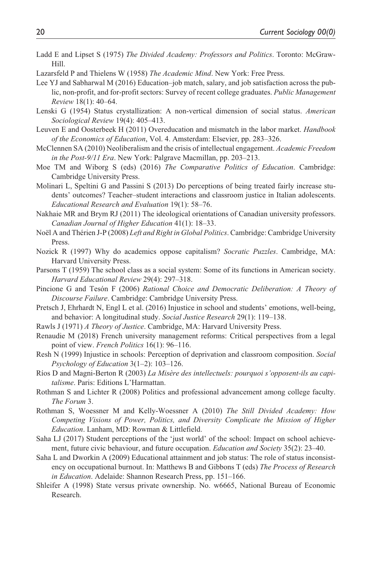- Ladd E and Lipset S (1975) *The Divided Academy: Professors and Politics*. Toronto: McGraw-Hill.
- Lazarsfeld P and Thielens W (1958) *The Academic Mind*. New York: Free Press.
- Lee YJ and Sabharwal M (2016) Education–job match, salary, and job satisfaction across the public, non-profit, and for-profit sectors: Survey of recent college graduates. *Public Management Review* 18(1): 40–64.
- Lenski G (1954) Status crystallization: A non-vertical dimension of social status. *American Sociological Review* 19(4): 405–413.
- Leuven E and Oosterbeek H (2011) Overeducation and mismatch in the labor market. *Handbook of the Economics of Education*, Vol. 4. Amsterdam: Elsevier, pp. 283–326.
- McClennen SA (2010) Neoliberalism and the crisis of intellectual engagement. *Academic Freedom in the Post-9/11 Era*. New York: Palgrave Macmillan, pp. 203–213.
- Moe TM and Wiborg S (eds) (2016) *The Comparative Politics of Education*. Cambridge: Cambridge University Press.
- Molinari L, Speltini G and Passini S (2013) Do perceptions of being treated fairly increase students' outcomes? Teacher–student interactions and classroom justice in Italian adolescents. *Educational Research and Evaluation* 19(1): 58–76.
- Nakhaie MR and Brym RJ (2011) The ideological orientations of Canadian university professors. *Canadian Journal of Higher Education* 41(1): 18–33.
- Noël A and Thérien J-P (2008) *Left and Right in Global Politics*. Cambridge: Cambridge University Press.
- Nozick R (1997) Why do academics oppose capitalism? *Socratic Puzzles*. Cambridge, MA: Harvard University Press.
- Parsons T (1959) The school class as a social system: Some of its functions in American society. *Harvard Educational Review* 29(4): 297–318.
- Pincione G and Tesón F (2006) *Rational Choice and Democratic Deliberation: A Theory of Discourse Failure*. Cambridge: Cambridge University Press.
- Pretsch J, Ehrhardt N, Engl L et al. (2016) Injustice in school and students' emotions, well-being, and behavior: A longitudinal study. *Social Justice Research* 29(1): 119–138.
- Rawls J (1971) *A Theory of Justice*. Cambridge, MA: Harvard University Press.
- Renaudie M (2018) French university management reforms: Critical perspectives from a legal point of view. *French Politics* 16(1): 96–116.
- Resh N (1999) Injustice in schools: Perception of deprivation and classroom composition. *Social Psychology of Education* 3(1–2): 103–126.
- Ríos D and Magni-Berton R (2003) *La Misère des intellectuels: pourquoi s'opposent-ils au capitalisme*. Paris: Editions L'Harmattan.
- Rothman S and Lichter R (2008) Politics and professional advancement among college faculty. *The Forum* 3.
- Rothman S, Woessner M and Kelly-Woessner A (2010) *The Still Divided Academy: How Competing Visions of Power, Politics, and Diversity Complicate the Mission of Higher Education*. Lanham, MD: Rowman & Littlefield.
- Saha LJ (2017) Student perceptions of the 'just world' of the school: Impact on school achievement, future civic behaviour, and future occupation. *Education and Society* 35(2): 23–40.
- Saha L and Dworkin A (2009) Educational attainment and job status: The role of status inconsistency on occupational burnout. In: Matthews B and Gibbons T (eds) *The Process of Research in Education*. Adelaide: Shannon Research Press, pp. 151–166.
- Shleifer A (1998) State versus private ownership. No. w6665, National Bureau of Economic Research.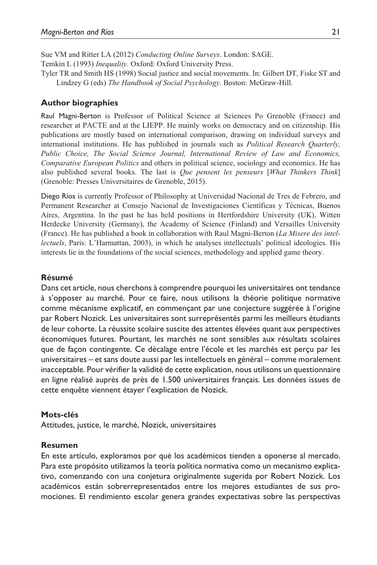Sue VM and Ritter LA (2012) *Conducting Online Surveys*. London: SAGE. Temkin L (1993) *Inequality*. Oxford: Oxford University Press.

Tyler TR and Smith HS (1998) Social justice and social movements. In: Gilbert DT, Fiske ST and Lindzey G (eds) *The Handbook of Social Psychology*. Boston: McGraw-Hill.

#### **Author biographies**

Raul Magni-Berton is Professor of Political Science at Sciences Po Grenoble (France) and researcher at PACTE and at the LIEPP. He mainly works on democracy and on citizenship. His publications are mostly based on international comparison, drawing on individual surveys and international institutions. He has published in journals such as *Political Research Quarterly, Public Choice, The Social Science Journal, International Review of Law and Economics, Comparative European Politics* and others in political science, sociology and economics. He has also published several books. The last is *Que pensent les penseurs* [*What Thinkers Think*] (Grenoble: Presses Universitaires de Grenoble, 2015).

Diego Ríos is currently Professor of Philosophy at Universidad Nacional de Tres de Febrero, and Permanent Researcher at Consejo Nacional de Investigaciones Científicas y Técnicas, Buenos Aires, Argentina. In the past he has held positions in Hertfordshire University (UK), Witten Herdecke University (Germany), the Academy of Science (Finland) and Versailles University (France). He has published a book in collaboration with Raul Magni-Berton (*La Misere des intellectuels*, Paris: L'Harmattan, 2003), in which he analyses intellectuals' political ideologies. His interests lie in the foundations of the social sciences, methodology and applied game theory.

#### **Résumé**

Dans cet article, nous cherchons à comprendre pourquoi les universitaires ont tendance à s'opposer au marché. Pour ce faire, nous utilisons la théorie politique normative comme mécanisme explicatif, en commençant par une conjecture suggérée à l'origine par Robert Nozick. Les universitaires sont surreprésentés parmi les meilleurs étudiants de leur cohorte. La réussite scolaire suscite des attentes élevées quant aux perspectives économiques futures. Pourtant, les marchés ne sont sensibles aux résultats scolaires que de façon contingente. Ce décalage entre l'école et les marchés est perçu par les universitaires – et sans doute aussi par les intellectuels en général – comme moralement inacceptable. Pour vérifier la validité de cette explication, nous utilisons un questionnaire en ligne réalisé auprès de près de 1.500 universitaires français. Les données issues de cette enquête viennent étayer l'explication de Nozick.

#### **Mots-clés**

Attitudes, justice, le marché, Nozick, universitaires

#### **Resumen**

En este artículo, exploramos por qué los académicos tienden a oponerse al mercado. Para este propósito utilizamos la teoría política normativa como un mecanismo explicativo, comenzando con una conjetura originalmente sugerida por Robert Nozick. Los académicos están sobrerrepresentados entre los mejores estudiantes de sus promociones. El rendimiento escolar genera grandes expectativas sobre las perspectivas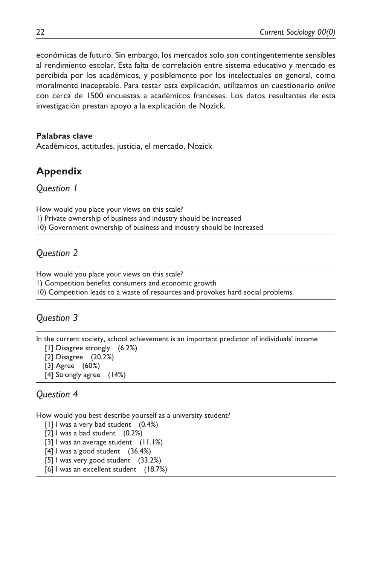económicas de futuro. Sin embargo, los mercados solo son contingentemente sensibles al rendimiento escolar. Esta falta de correlación entre sistema educativo y mercado es percibida por los académicos, y posiblemente por los intelectuales en general, como moralmente inaceptable. Para testar esta explicación, utilizamos un cuestionario *online* con cerca de 1500 encuestas a académicos franceses. Los datos resultantes de esta investigación prestan apoyo a la explicación de Nozick.

### **Palabras clave**

Académicos, actitudes, justicia, el mercado, Nozick

# **Appendix**

*Question 1*

How would you place your views on this scale? 1) Private ownership of business and industry should be increased 10) Government ownership of business and industry should be increased

# *Question 2*

How would you place your views on this scale?

1) Competition benefits consumers and economic growth

10) Competition leads to a waste of resources and provokes hard social problems.

# *Question 3*

In the current society, school achievement is an important predictor of individuals' income

[1] Disagree strongly (6.2%)

[2] Disagree (20.2%)

- [3] Agree (60%)
- [4] Strongly agree (14%)

# *Question 4*

How would you best describe yourself as a university student?

[1] I was a very bad student (0.4%)

[2] I was a bad student (0.2%)

[3] I was an average student (11.1%)

[4] I was a good student (36.4%)

[5] I was very good student (33.2%)

[6] I was an excellent student (18.7%)